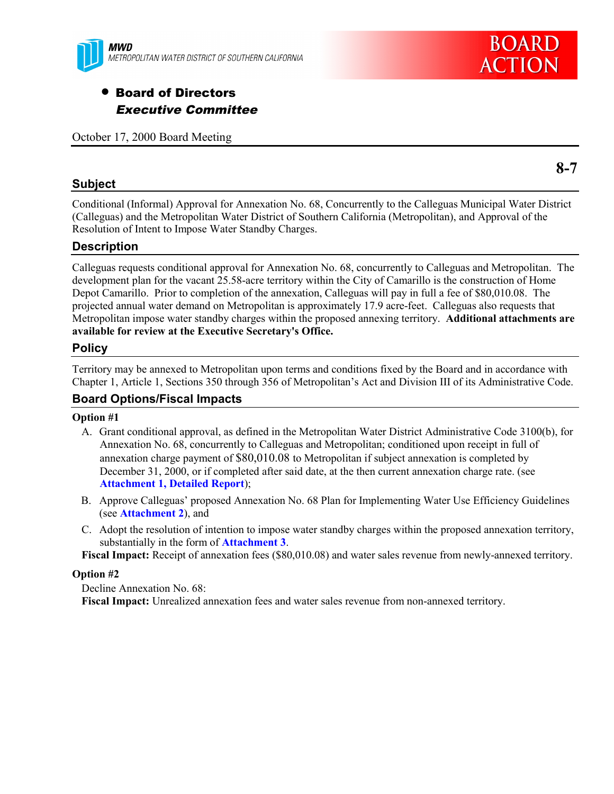

# • Board of Directors Executive Committee

October 17, 2000 Board Meeting

### **Subject**

Conditional (Informal) Approval for Annexation No. 68, Concurrently to the Calleguas Municipal Water District (Calleguas) and the Metropolitan Water District of Southern California (Metropolitan), and Approval of the Resolution of Intent to Impose Water Standby Charges.

### **Description**

Calleguas requests conditional approval for Annexation No. 68, concurrently to Calleguas and Metropolitan. The development plan for the vacant 25.58-acre territory within the City of Camarillo is the construction of Home Depot Camarillo. Prior to completion of the annexation, Calleguas will pay in full a fee of \$80,010.08. The projected annual water demand on Metropolitan is approximately 17.9 acre-feet. Calleguas also requests that Metropolitan impose water standby charges within the proposed annexing territory. **Additional attachments are available for review at the Executive Secretary's Office.**

#### **Policy**

Territory may be annexed to Metropolitan upon terms and conditions fixed by the Board and in accordance with Chapter 1, Article 1, Sections 350 through 356 of Metropolitan's Act and Division III of its Administrative Code.

#### **Board Options/Fiscal Impacts**

#### **Option #1**

- A. Grant conditional approval, as defined in the Metropolitan Water District Administrative Code 3100(b), for Annexation No. 68, concurrently to Calleguas and Metropolitan; conditioned upon receipt in full of annexation charge payment of \$80,010.08 to Metropolitan if subject annexation is completed by December 31, 2000, or if completed after said date, at the then current annexation charge rate. (see **Attachment 1, Detailed Report**);
- B. Approve Calleguas' proposed Annexation No. 68 Plan for Implementing Water Use Efficiency Guidelines (see **Attachment 2**), and
- C. Adopt the resolution of intention to impose water standby charges within the proposed annexation territory, substantially in the form of **Attachment 3**.
- **Fiscal Impact:** Receipt of annexation fees (\$80,010.08) and water sales revenue from newly-annexed territory.

#### **Option #2**

Decline Annexation No. 68: **Fiscal Impact:** Unrealized annexation fees and water sales revenue from non-annexed territory. **8-7**

**BOARD** 

**ACTION**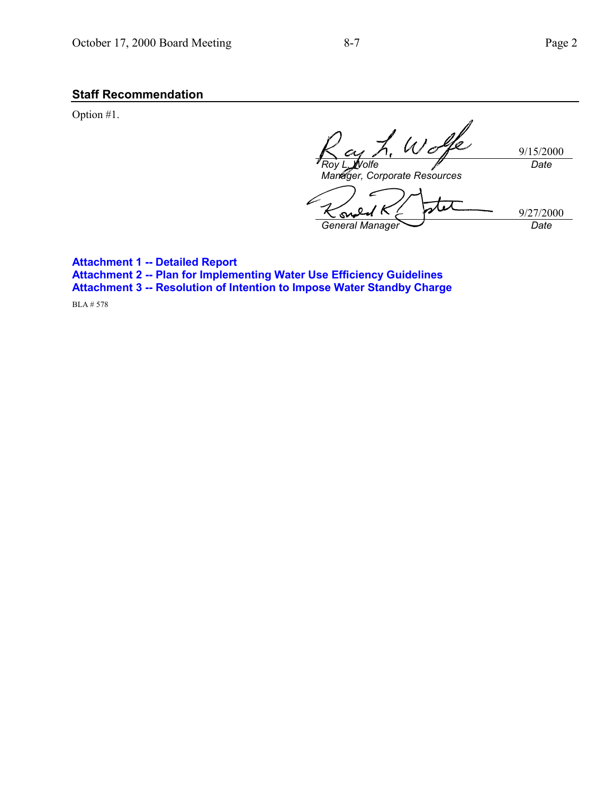### **Staff Recommendation**

Option #1.

1 offe 9/15/2000 *Roy L. Wolfe Date Manager, Corporate Resources*

Ķ 9/27/2000 S *General Manager Date*

**Attachment 1 -- Detailed Report Attachment 2 -- Plan for Implementing Water Use Efficiency Guidelines Attachment 3 -- Resolution of Intention to Impose Water Standby Charge**

BLA # 578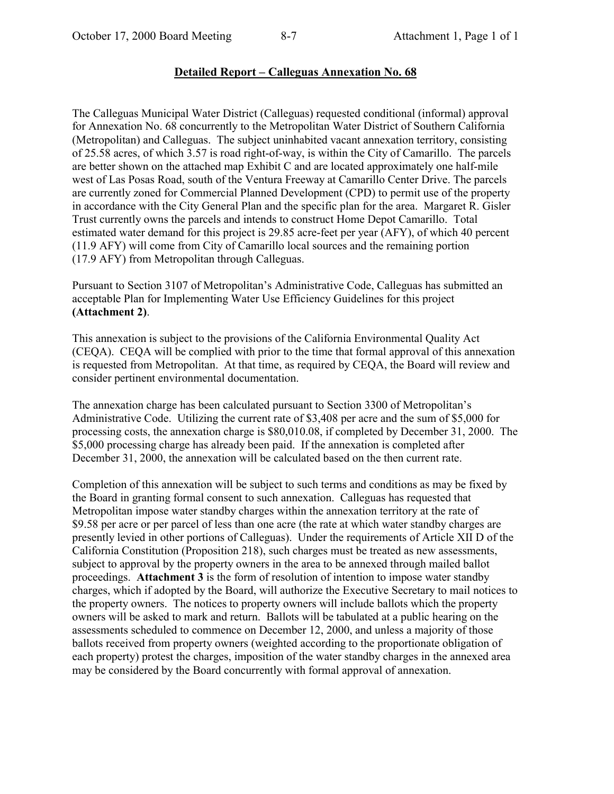### **Detailed Report – Calleguas Annexation No. 68**

The Calleguas Municipal Water District (Calleguas) requested conditional (informal) approval for Annexation No. 68 concurrently to the Metropolitan Water District of Southern California (Metropolitan) and Calleguas. The subject uninhabited vacant annexation territory, consisting of 25.58 acres, of which 3.57 is road right-of-way, is within the City of Camarillo. The parcels are better shown on the attached map Exhibit C and are located approximately one half-mile west of Las Posas Road, south of the Ventura Freeway at Camarillo Center Drive. The parcels are currently zoned for Commercial Planned Development (CPD) to permit use of the property in accordance with the City General Plan and the specific plan for the area. Margaret R. Gisler Trust currently owns the parcels and intends to construct Home Depot Camarillo. Total estimated water demand for this project is 29.85 acre-feet per year (AFY), of which 40 percent (11.9 AFY) will come from City of Camarillo local sources and the remaining portion (17.9 AFY) from Metropolitan through Calleguas.

Pursuant to Section 3107 of Metropolitan's Administrative Code, Calleguas has submitted an acceptable Plan for Implementing Water Use Efficiency Guidelines for this project **(Attachment 2)**.

This annexation is subject to the provisions of the California Environmental Quality Act (CEQA). CEQA will be complied with prior to the time that formal approval of this annexation is requested from Metropolitan. At that time, as required by CEQA, the Board will review and consider pertinent environmental documentation.

The annexation charge has been calculated pursuant to Section 3300 of Metropolitan's Administrative Code. Utilizing the current rate of \$3,408 per acre and the sum of \$5,000 for processing costs, the annexation charge is \$80,010.08, if completed by December 31, 2000. The \$5,000 processing charge has already been paid. If the annexation is completed after December 31, 2000, the annexation will be calculated based on the then current rate.

Completion of this annexation will be subject to such terms and conditions as may be fixed by the Board in granting formal consent to such annexation. Calleguas has requested that Metropolitan impose water standby charges within the annexation territory at the rate of \$9.58 per acre or per parcel of less than one acre (the rate at which water standby charges are presently levied in other portions of Calleguas). Under the requirements of Article XII D of the California Constitution (Proposition 218), such charges must be treated as new assessments, subject to approval by the property owners in the area to be annexed through mailed ballot proceedings. **Attachment 3** is the form of resolution of intention to impose water standby charges, which if adopted by the Board, will authorize the Executive Secretary to mail notices to the property owners. The notices to property owners will include ballots which the property owners will be asked to mark and return. Ballots will be tabulated at a public hearing on the assessments scheduled to commence on December 12, 2000, and unless a majority of those ballots received from property owners (weighted according to the proportionate obligation of each property) protest the charges, imposition of the water standby charges in the annexed area may be considered by the Board concurrently with formal approval of annexation.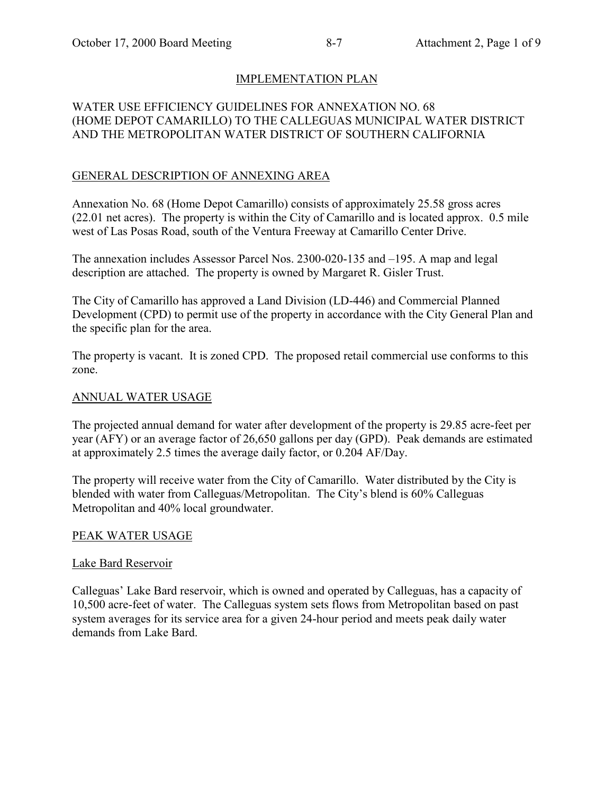## IMPLEMENTATION PLAN

### WATER USE EFFICIENCY GUIDELINES FOR ANNEXATION NO. 68 (HOME DEPOT CAMARILLO) TO THE CALLEGUAS MUNICIPAL WATER DISTRICT AND THE METROPOLITAN WATER DISTRICT OF SOUTHERN CALIFORNIA

### GENERAL DESCRIPTION OF ANNEXING AREA

Annexation No. 68 (Home Depot Camarillo) consists of approximately 25.58 gross acres (22.01 net acres). The property is within the City of Camarillo and is located approx. 0.5 mile west of Las Posas Road, south of the Ventura Freeway at Camarillo Center Drive.

The annexation includes Assessor Parcel Nos. 2300-020-135 and –195. A map and legal description are attached. The property is owned by Margaret R. Gisler Trust.

The City of Camarillo has approved a Land Division (LD-446) and Commercial Planned Development (CPD) to permit use of the property in accordance with the City General Plan and the specific plan for the area.

The property is vacant. It is zoned CPD. The proposed retail commercial use conforms to this zone.

#### ANNUAL WATER USAGE

The projected annual demand for water after development of the property is 29.85 acre-feet per year (AFY) or an average factor of 26,650 gallons per day (GPD). Peak demands are estimated at approximately 2.5 times the average daily factor, or 0.204 AF/Day.

The property will receive water from the City of Camarillo. Water distributed by the City is blended with water from Calleguas/Metropolitan. The City's blend is 60% Calleguas Metropolitan and 40% local groundwater.

#### PEAK WATER USAGE

#### Lake Bard Reservoir

Calleguas' Lake Bard reservoir, which is owned and operated by Calleguas, has a capacity of 10,500 acre-feet of water. The Calleguas system sets flows from Metropolitan based on past system averages for its service area for a given 24-hour period and meets peak daily water demands from Lake Bard.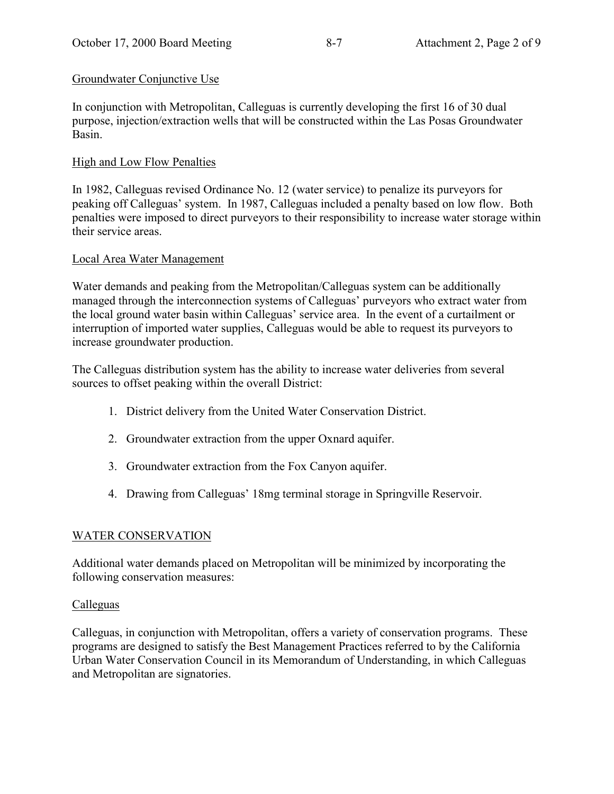## Groundwater Conjunctive Use

In conjunction with Metropolitan, Calleguas is currently developing the first 16 of 30 dual purpose, injection/extraction wells that will be constructed within the Las Posas Groundwater Basin.

## High and Low Flow Penalties

In 1982, Calleguas revised Ordinance No. 12 (water service) to penalize its purveyors for peaking off Calleguas' system. In 1987, Calleguas included a penalty based on low flow. Both penalties were imposed to direct purveyors to their responsibility to increase water storage within their service areas.

## Local Area Water Management

Water demands and peaking from the Metropolitan/Calleguas system can be additionally managed through the interconnection systems of Calleguas' purveyors who extract water from the local ground water basin within Calleguas' service area. In the event of a curtailment or interruption of imported water supplies, Calleguas would be able to request its purveyors to increase groundwater production.

The Calleguas distribution system has the ability to increase water deliveries from several sources to offset peaking within the overall District:

- 1. District delivery from the United Water Conservation District.
- 2. Groundwater extraction from the upper Oxnard aquifer.
- 3. Groundwater extraction from the Fox Canyon aquifer.
- 4. Drawing from Calleguas' 18mg terminal storage in Springville Reservoir.

## WATER CONSERVATION

Additional water demands placed on Metropolitan will be minimized by incorporating the following conservation measures:

## Calleguas

Calleguas, in conjunction with Metropolitan, offers a variety of conservation programs. These programs are designed to satisfy the Best Management Practices referred to by the California Urban Water Conservation Council in its Memorandum of Understanding, in which Calleguas and Metropolitan are signatories.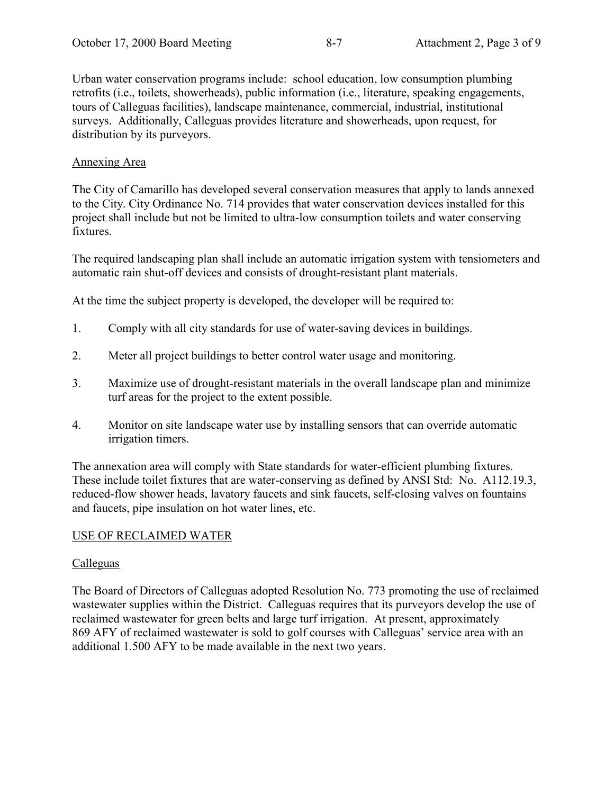Urban water conservation programs include: school education, low consumption plumbing retrofits (i.e., toilets, showerheads), public information (i.e., literature, speaking engagements, tours of Calleguas facilities), landscape maintenance, commercial, industrial, institutional surveys. Additionally, Calleguas provides literature and showerheads, upon request, for distribution by its purveyors.

## Annexing Area

The City of Camarillo has developed several conservation measures that apply to lands annexed to the City. City Ordinance No. 714 provides that water conservation devices installed for this project shall include but not be limited to ultra-low consumption toilets and water conserving fixtures.

The required landscaping plan shall include an automatic irrigation system with tensiometers and automatic rain shut-off devices and consists of drought-resistant plant materials.

At the time the subject property is developed, the developer will be required to:

- 1. Comply with all city standards for use of water-saving devices in buildings.
- 2. Meter all project buildings to better control water usage and monitoring.
- 3. Maximize use of drought-resistant materials in the overall landscape plan and minimize turf areas for the project to the extent possible.
- 4. Monitor on site landscape water use by installing sensors that can override automatic irrigation timers.

The annexation area will comply with State standards for water-efficient plumbing fixtures. These include toilet fixtures that are water-conserving as defined by ANSI Std: No. A112.19.3, reduced-flow shower heads, lavatory faucets and sink faucets, self-closing valves on fountains and faucets, pipe insulation on hot water lines, etc.

## USE OF RECLAIMED WATER

## Calleguas

The Board of Directors of Calleguas adopted Resolution No. 773 promoting the use of reclaimed wastewater supplies within the District. Calleguas requires that its purveyors develop the use of reclaimed wastewater for green belts and large turf irrigation. At present, approximately 869 AFY of reclaimed wastewater is sold to golf courses with Calleguas' service area with an additional 1.500 AFY to be made available in the next two years.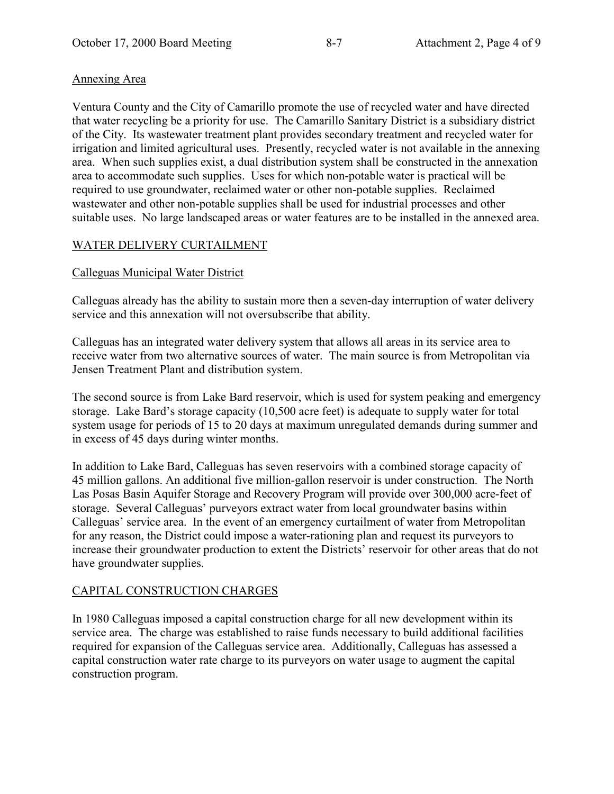## Annexing Area

Ventura County and the City of Camarillo promote the use of recycled water and have directed that water recycling be a priority for use. The Camarillo Sanitary District is a subsidiary district of the City. Its wastewater treatment plant provides secondary treatment and recycled water for irrigation and limited agricultural uses. Presently, recycled water is not available in the annexing area. When such supplies exist, a dual distribution system shall be constructed in the annexation area to accommodate such supplies. Uses for which non-potable water is practical will be required to use groundwater, reclaimed water or other non-potable supplies. Reclaimed wastewater and other non-potable supplies shall be used for industrial processes and other suitable uses. No large landscaped areas or water features are to be installed in the annexed area.

## WATER DELIVERY CURTAILMENT

## Calleguas Municipal Water District

Calleguas already has the ability to sustain more then a seven-day interruption of water delivery service and this annexation will not oversubscribe that ability.

Calleguas has an integrated water delivery system that allows all areas in its service area to receive water from two alternative sources of water. The main source is from Metropolitan via Jensen Treatment Plant and distribution system.

The second source is from Lake Bard reservoir, which is used for system peaking and emergency storage. Lake Bard's storage capacity (10,500 acre feet) is adequate to supply water for total system usage for periods of 15 to 20 days at maximum unregulated demands during summer and in excess of 45 days during winter months.

In addition to Lake Bard, Calleguas has seven reservoirs with a combined storage capacity of 45 million gallons. An additional five million-gallon reservoir is under construction. The North Las Posas Basin Aquifer Storage and Recovery Program will provide over 300,000 acre-feet of storage. Several Calleguas' purveyors extract water from local groundwater basins within Calleguas' service area. In the event of an emergency curtailment of water from Metropolitan for any reason, the District could impose a water-rationing plan and request its purveyors to increase their groundwater production to extent the Districts' reservoir for other areas that do not have groundwater supplies.

## CAPITAL CONSTRUCTION CHARGES

In 1980 Calleguas imposed a capital construction charge for all new development within its service area. The charge was established to raise funds necessary to build additional facilities required for expansion of the Calleguas service area. Additionally, Calleguas has assessed a capital construction water rate charge to its purveyors on water usage to augment the capital construction program.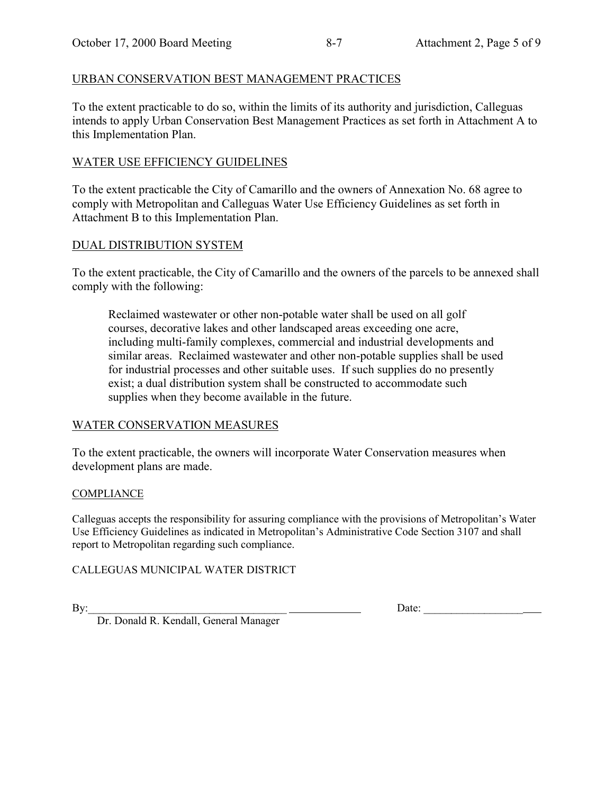### URBAN CONSERVATION BEST MANAGEMENT PRACTICES

To the extent practicable to do so, within the limits of its authority and jurisdiction, Calleguas intends to apply Urban Conservation Best Management Practices as set forth in Attachment A to this Implementation Plan.

### WATER USE EFFICIENCY GUIDELINES

To the extent practicable the City of Camarillo and the owners of Annexation No. 68 agree to comply with Metropolitan and Calleguas Water Use Efficiency Guidelines as set forth in Attachment B to this Implementation Plan.

### DUAL DISTRIBUTION SYSTEM

To the extent practicable, the City of Camarillo and the owners of the parcels to be annexed shall comply with the following:

Reclaimed wastewater or other non-potable water shall be used on all golf courses, decorative lakes and other landscaped areas exceeding one acre, including multi-family complexes, commercial and industrial developments and similar areas. Reclaimed wastewater and other non-potable supplies shall be used for industrial processes and other suitable uses. If such supplies do no presently exist; a dual distribution system shall be constructed to accommodate such supplies when they become available in the future.

## WATER CONSERVATION MEASURES

To the extent practicable, the owners will incorporate Water Conservation measures when development plans are made.

#### COMPLIANCE

Calleguas accepts the responsibility for assuring compliance with the provisions of Metropolitan's Water Use Efficiency Guidelines as indicated in Metropolitan's Administrative Code Section 3107 and shall report to Metropolitan regarding such compliance.

#### CALLEGUAS MUNICIPAL WATER DISTRICT

By:\_\_\_\_\_\_\_\_\_\_\_\_\_\_\_\_\_\_\_\_\_\_\_\_\_\_\_\_\_\_\_\_\_\_\_\_ Date: \_\_\_\_\_\_\_\_\_\_\_\_\_\_\_\_\_\_

Dr. Donald R. Kendall, General Manager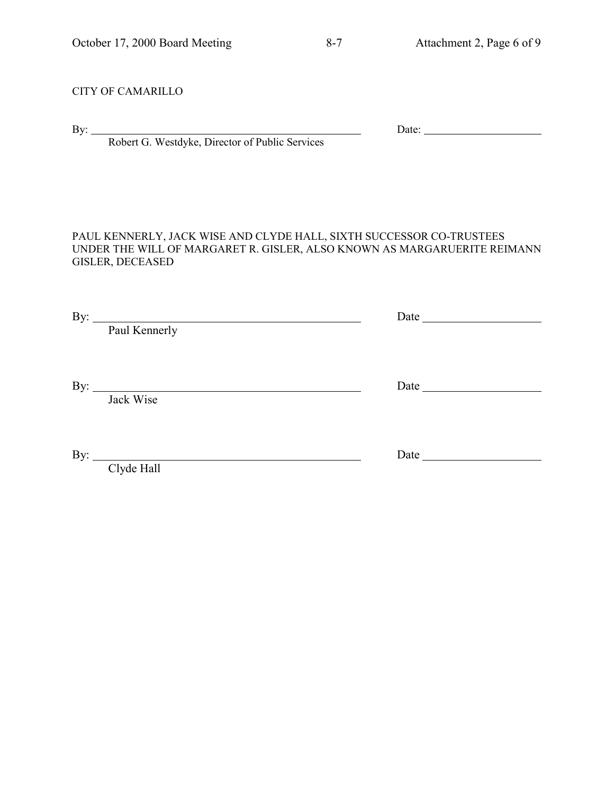#### CITY OF CAMARILLO

By: Date:

Robert G. Westdyke, Director of Public Services

#### PAUL KENNERLY, JACK WISE AND CLYDE HALL, SIXTH SUCCESSOR CO-TRUSTEES UNDER THE WILL OF MARGARET R. GISLER, ALSO KNOWN AS MARGARUERITE REIMANN GISLER, DECEASED

| By: |                                                                                                                      | Date |  |
|-----|----------------------------------------------------------------------------------------------------------------------|------|--|
|     | Paul Kennerly                                                                                                        |      |  |
|     |                                                                                                                      |      |  |
|     |                                                                                                                      |      |  |
| By: | <u> 1980 - Jan Samuel Barbara, martin de la populación de la propia de la propia de la propia de la propia de la</u> | Date |  |
|     | Jack Wise                                                                                                            |      |  |
|     |                                                                                                                      |      |  |
|     |                                                                                                                      |      |  |
| By: |                                                                                                                      | Date |  |
|     | Clyde Hall                                                                                                           |      |  |
|     |                                                                                                                      |      |  |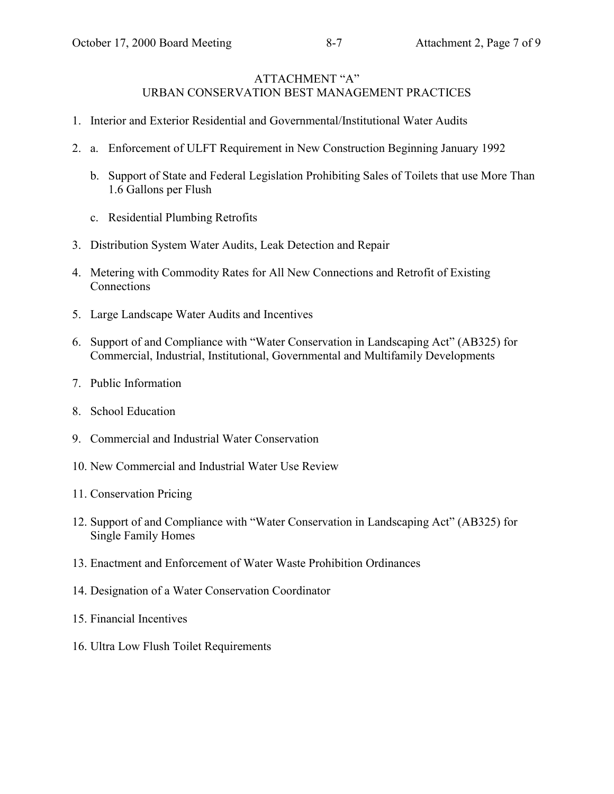## ATTACHMENT "A" URBAN CONSERVATION BEST MANAGEMENT PRACTICES

- 1. Interior and Exterior Residential and Governmental/Institutional Water Audits
- 2. a. Enforcement of ULFT Requirement in New Construction Beginning January 1992
	- b. Support of State and Federal Legislation Prohibiting Sales of Toilets that use More Than 1.6 Gallons per Flush
	- c. Residential Plumbing Retrofits
- 3. Distribution System Water Audits, Leak Detection and Repair
- 4. Metering with Commodity Rates for All New Connections and Retrofit of Existing **Connections**
- 5. Large Landscape Water Audits and Incentives
- 6. Support of and Compliance with "Water Conservation in Landscaping Act" (AB325) for Commercial, Industrial, Institutional, Governmental and Multifamily Developments
- 7. Public Information
- 8. School Education
- 9. Commercial and Industrial Water Conservation
- 10. New Commercial and Industrial Water Use Review
- 11. Conservation Pricing
- 12. Support of and Compliance with "Water Conservation in Landscaping Act" (AB325) for Single Family Homes
- 13. Enactment and Enforcement of Water Waste Prohibition Ordinances
- 14. Designation of a Water Conservation Coordinator
- 15. Financial Incentives
- 16. Ultra Low Flush Toilet Requirements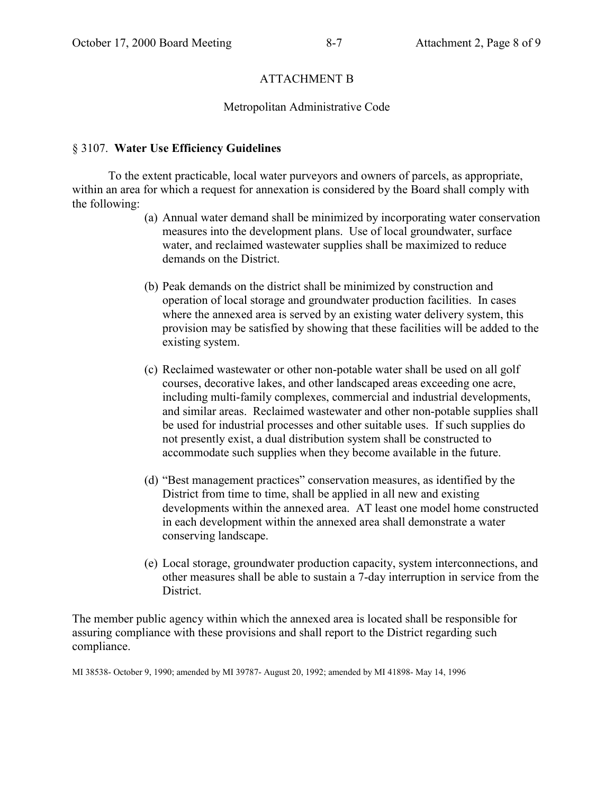## ATTACHMENT B

## Metropolitan Administrative Code

### § 3107. **Water Use Efficiency Guidelines**

To the extent practicable, local water purveyors and owners of parcels, as appropriate, within an area for which a request for annexation is considered by the Board shall comply with the following:

- (a) Annual water demand shall be minimized by incorporating water conservation measures into the development plans. Use of local groundwater, surface water, and reclaimed wastewater supplies shall be maximized to reduce demands on the District.
- (b) Peak demands on the district shall be minimized by construction and operation of local storage and groundwater production facilities. In cases where the annexed area is served by an existing water delivery system, this provision may be satisfied by showing that these facilities will be added to the existing system.
- (c) Reclaimed wastewater or other non-potable water shall be used on all golf courses, decorative lakes, and other landscaped areas exceeding one acre, including multi-family complexes, commercial and industrial developments, and similar areas. Reclaimed wastewater and other non-potable supplies shall be used for industrial processes and other suitable uses. If such supplies do not presently exist, a dual distribution system shall be constructed to accommodate such supplies when they become available in the future.
- (d) "Best management practices" conservation measures, as identified by the District from time to time, shall be applied in all new and existing developments within the annexed area. AT least one model home constructed in each development within the annexed area shall demonstrate a water conserving landscape.
- (e) Local storage, groundwater production capacity, system interconnections, and other measures shall be able to sustain a 7-day interruption in service from the District.

The member public agency within which the annexed area is located shall be responsible for assuring compliance with these provisions and shall report to the District regarding such compliance.

MI 38538- October 9, 1990; amended by MI 39787- August 20, 1992; amended by MI 41898- May 14, 1996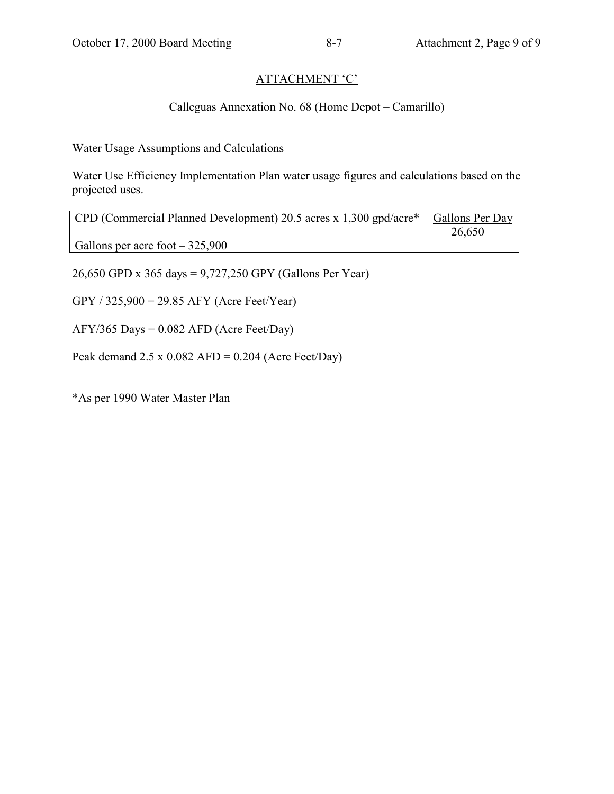## ATTACHMENT 'C'

# Calleguas Annexation No. 68 (Home Depot – Camarillo)

# Water Usage Assumptions and Calculations

Water Use Efficiency Implementation Plan water usage figures and calculations based on the projected uses.

| CPD (Commercial Planned Development) 20.5 acres x 1,300 gpd/acre* Gallons Per Day | 26,650 |
|-----------------------------------------------------------------------------------|--------|
| Gallons per acre foot $-325,900$                                                  |        |

26,650 GPD x 365 days = 9,727,250 GPY (Gallons Per Year)

GPY / 325,900 = 29.85 AFY (Acre Feet/Year)

 $AFY/365$  Days = 0.082 AFD (Acre Feet/Day)

Peak demand 2.5 x 0.082 AFD = 0.204 (Acre Feet/Day)

\*As per 1990 Water Master Plan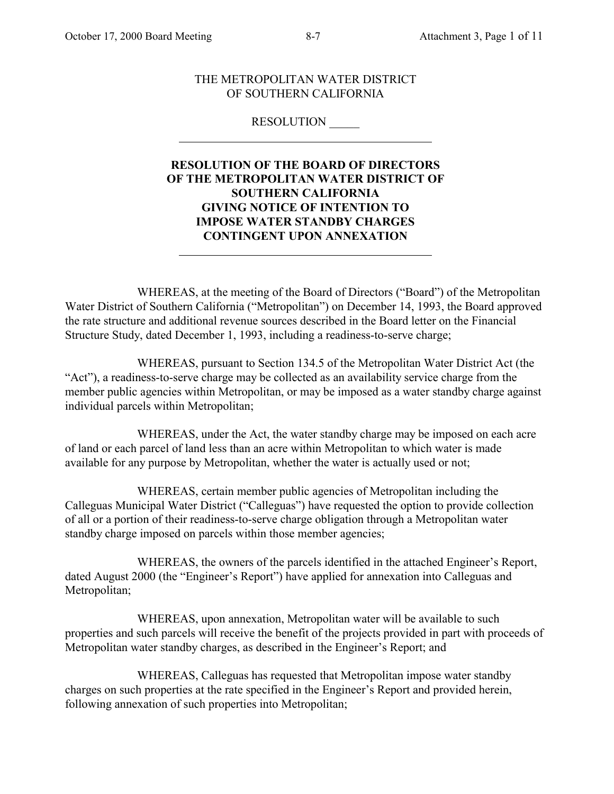$\overline{a}$ 

### THE METROPOLITAN WATER DISTRICT OF SOUTHERN CALIFORNIA

#### RESOLUTION \_\_\_\_\_

## **RESOLUTION OF THE BOARD OF DIRECTORS OF THE METROPOLITAN WATER DISTRICT OF SOUTHERN CALIFORNIA GIVING NOTICE OF INTENTION TO IMPOSE WATER STANDBY CHARGES CONTINGENT UPON ANNEXATION** l

WHEREAS, at the meeting of the Board of Directors ("Board") of the Metropolitan Water District of Southern California ("Metropolitan") on December 14, 1993, the Board approved the rate structure and additional revenue sources described in the Board letter on the Financial Structure Study, dated December 1, 1993, including a readiness-to-serve charge;

WHEREAS, pursuant to Section 134.5 of the Metropolitan Water District Act (the "Act"), a readiness-to-serve charge may be collected as an availability service charge from the member public agencies within Metropolitan, or may be imposed as a water standby charge against individual parcels within Metropolitan;

WHEREAS, under the Act, the water standby charge may be imposed on each acre of land or each parcel of land less than an acre within Metropolitan to which water is made available for any purpose by Metropolitan, whether the water is actually used or not;

WHEREAS, certain member public agencies of Metropolitan including the Calleguas Municipal Water District ("Calleguas") have requested the option to provide collection of all or a portion of their readiness-to-serve charge obligation through a Metropolitan water standby charge imposed on parcels within those member agencies;

WHEREAS, the owners of the parcels identified in the attached Engineer's Report, dated August 2000 (the "Engineer's Report") have applied for annexation into Calleguas and Metropolitan;

WHEREAS, upon annexation, Metropolitan water will be available to such properties and such parcels will receive the benefit of the projects provided in part with proceeds of Metropolitan water standby charges, as described in the Engineer's Report; and

WHEREAS, Calleguas has requested that Metropolitan impose water standby charges on such properties at the rate specified in the Engineer's Report and provided herein, following annexation of such properties into Metropolitan;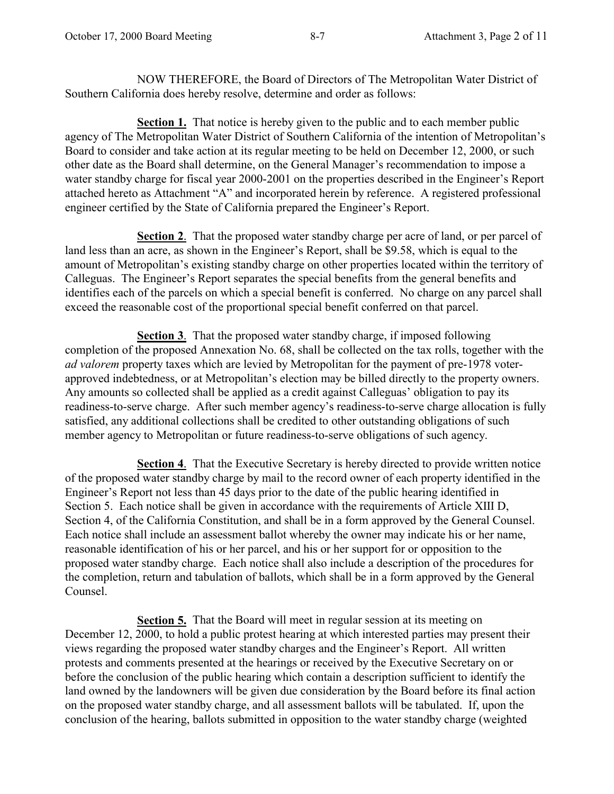NOW THEREFORE, the Board of Directors of The Metropolitan Water District of Southern California does hereby resolve, determine and order as follows:

**Section 1.** That notice is hereby given to the public and to each member public agency of The Metropolitan Water District of Southern California of the intention of Metropolitan's Board to consider and take action at its regular meeting to be held on December 12, 2000, or such other date as the Board shall determine, on the General Manager's recommendation to impose a water standby charge for fiscal year 2000-2001 on the properties described in the Engineer's Report attached hereto as Attachment "A" and incorporated herein by reference. A registered professional engineer certified by the State of California prepared the Engineer's Report.

**Section 2**. That the proposed water standby charge per acre of land, or per parcel of land less than an acre, as shown in the Engineer's Report, shall be \$9.58, which is equal to the amount of Metropolitan's existing standby charge on other properties located within the territory of Calleguas. The Engineer's Report separates the special benefits from the general benefits and identifies each of the parcels on which a special benefit is conferred. No charge on any parcel shall exceed the reasonable cost of the proportional special benefit conferred on that parcel.

**Section 3**. That the proposed water standby charge, if imposed following completion of the proposed Annexation No. 68, shall be collected on the tax rolls, together with the *ad valorem* property taxes which are levied by Metropolitan for the payment of pre-1978 voterapproved indebtedness, or at Metropolitan's election may be billed directly to the property owners. Any amounts so collected shall be applied as a credit against Calleguas' obligation to pay its readiness-to-serve charge. After such member agency's readiness-to-serve charge allocation is fully satisfied, any additional collections shall be credited to other outstanding obligations of such member agency to Metropolitan or future readiness-to-serve obligations of such agency.

**Section 4**. That the Executive Secretary is hereby directed to provide written notice of the proposed water standby charge by mail to the record owner of each property identified in the Engineer's Report not less than 45 days prior to the date of the public hearing identified in Section 5. Each notice shall be given in accordance with the requirements of Article XIII D, Section 4, of the California Constitution, and shall be in a form approved by the General Counsel. Each notice shall include an assessment ballot whereby the owner may indicate his or her name, reasonable identification of his or her parcel, and his or her support for or opposition to the proposed water standby charge. Each notice shall also include a description of the procedures for the completion, return and tabulation of ballots, which shall be in a form approved by the General Counsel.

**Section 5.** That the Board will meet in regular session at its meeting on December 12, 2000, to hold a public protest hearing at which interested parties may present their views regarding the proposed water standby charges and the Engineer's Report. All written protests and comments presented at the hearings or received by the Executive Secretary on or before the conclusion of the public hearing which contain a description sufficient to identify the land owned by the landowners will be given due consideration by the Board before its final action on the proposed water standby charge, and all assessment ballots will be tabulated. If, upon the conclusion of the hearing, ballots submitted in opposition to the water standby charge (weighted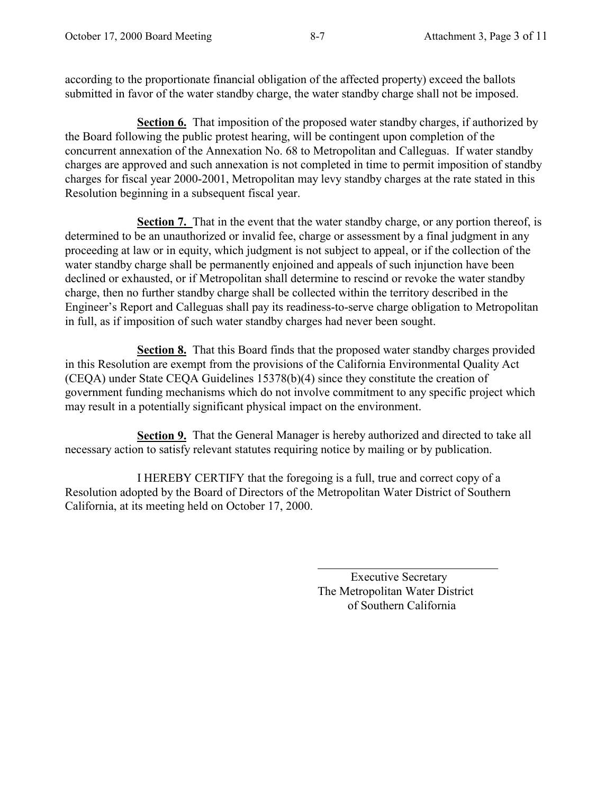according to the proportionate financial obligation of the affected property) exceed the ballots submitted in favor of the water standby charge, the water standby charge shall not be imposed.

**Section 6.** That imposition of the proposed water standby charges, if authorized by the Board following the public protest hearing, will be contingent upon completion of the concurrent annexation of the Annexation No. 68 to Metropolitan and Calleguas. If water standby charges are approved and such annexation is not completed in time to permit imposition of standby charges for fiscal year 2000-2001, Metropolitan may levy standby charges at the rate stated in this Resolution beginning in a subsequent fiscal year.

**Section 7.** That in the event that the water standby charge, or any portion thereof, is determined to be an unauthorized or invalid fee, charge or assessment by a final judgment in any proceeding at law or in equity, which judgment is not subject to appeal, or if the collection of the water standby charge shall be permanently enjoined and appeals of such injunction have been declined or exhausted, or if Metropolitan shall determine to rescind or revoke the water standby charge, then no further standby charge shall be collected within the territory described in the Engineer's Report and Calleguas shall pay its readiness-to-serve charge obligation to Metropolitan in full, as if imposition of such water standby charges had never been sought.

**Section 8.** That this Board finds that the proposed water standby charges provided in this Resolution are exempt from the provisions of the California Environmental Quality Act (CEQA) under State CEQA Guidelines 15378(b)(4) since they constitute the creation of government funding mechanisms which do not involve commitment to any specific project which may result in a potentially significant physical impact on the environment.

**Section 9.** That the General Manager is hereby authorized and directed to take all necessary action to satisfy relevant statutes requiring notice by mailing or by publication.

 $\overline{a}$ 

I HEREBY CERTIFY that the foregoing is a full, true and correct copy of a Resolution adopted by the Board of Directors of the Metropolitan Water District of Southern California, at its meeting held on October 17, 2000.

> Executive Secretary The Metropolitan Water District of Southern California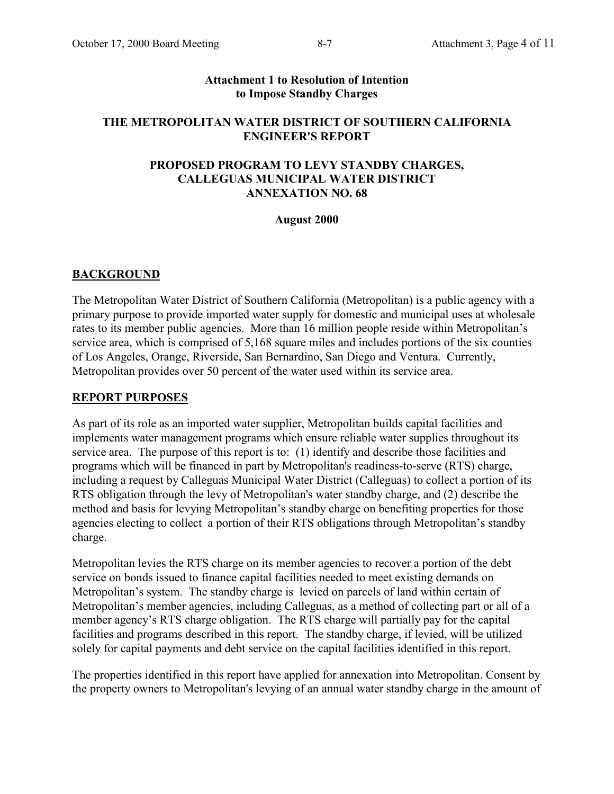### **Attachment 1 to Resolution of Intention to Impose Standby Charges**

### **THE METROPOLITAN WATER DISTRICT OF SOUTHERN CALIFORNIA ENGINEER'S REPORT**

### **PROPOSED PROGRAM TO LEVY STANDBY CHARGES, CALLEGUAS MUNICIPAL WATER DISTRICT ANNEXATION NO. 68**

#### **August 2000**

### **BACKGROUND**

The Metropolitan Water District of Southern California (Metropolitan) is a public agency with a primary purpose to provide imported water supply for domestic and municipal uses at wholesale rates to its member public agencies. More than 16 million people reside within Metropolitan's service area, which is comprised of 5,168 square miles and includes portions of the six counties of Los Angeles, Orange, Riverside, San Bernardino, San Diego and Ventura. Currently, Metropolitan provides over 50 percent of the water used within its service area.

#### **REPORT PURPOSES**

As part of its role as an imported water supplier, Metropolitan builds capital facilities and implements water management programs which ensure reliable water supplies throughout its service area. The purpose of this report is to: (1) identify and describe those facilities and programs which will be financed in part by Metropolitan's readiness-to-serve (RTS) charge, including a request by Calleguas Municipal Water District (Calleguas) to collect a portion of its RTS obligation through the levy of Metropolitan's water standby charge, and (2) describe the method and basis for levying Metropolitan's standby charge on benefiting properties for those agencies electing to collect a portion of their RTS obligations through Metropolitan's standby charge.

Metropolitan levies the RTS charge on its member agencies to recover a portion of the debt service on bonds issued to finance capital facilities needed to meet existing demands on Metropolitan's system. The standby charge is levied on parcels of land within certain of Metropolitan's member agencies, including Calleguas, as a method of collecting part or all of a member agency's RTS charge obligation. The RTS charge will partially pay for the capital facilities and programs described in this report. The standby charge, if levied, will be utilized solely for capital payments and debt service on the capital facilities identified in this report.

The properties identified in this report have applied for annexation into Metropolitan. Consent by the property owners to Metropolitan's levying of an annual water standby charge in the amount of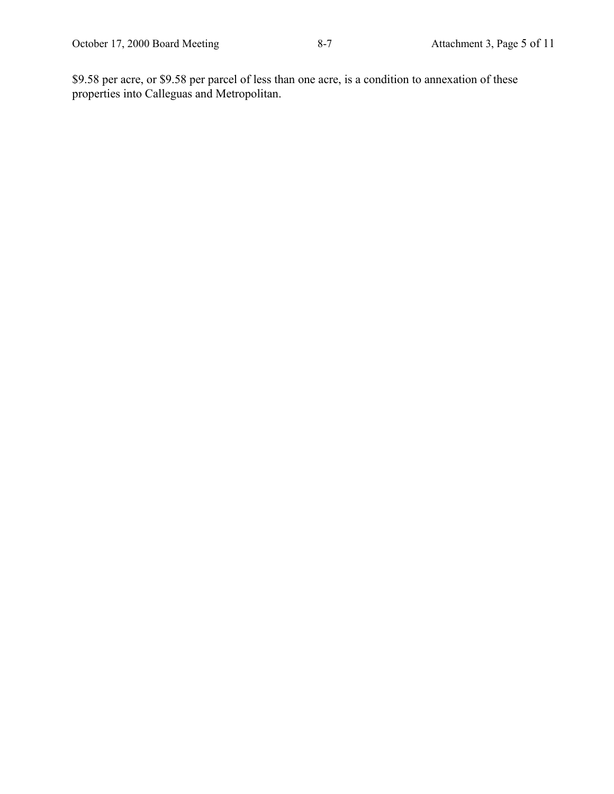\$9.58 per acre, or \$9.58 per parcel of less than one acre, is a condition to annexation of these properties into Calleguas and Metropolitan.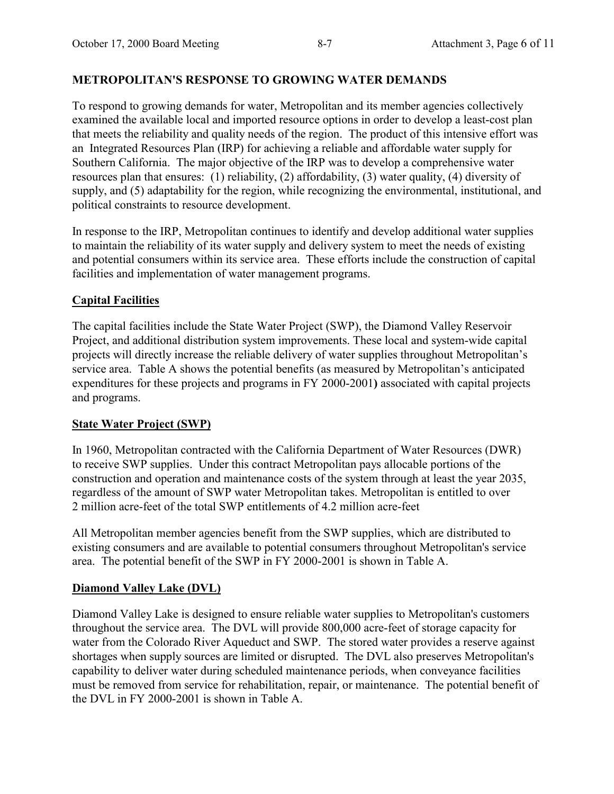### **METROPOLITAN'S RESPONSE TO GROWING WATER DEMANDS**

To respond to growing demands for water, Metropolitan and its member agencies collectively examined the available local and imported resource options in order to develop a least-cost plan that meets the reliability and quality needs of the region. The product of this intensive effort was an Integrated Resources Plan (IRP) for achieving a reliable and affordable water supply for Southern California. The major objective of the IRP was to develop a comprehensive water resources plan that ensures: (1) reliability, (2) affordability, (3) water quality, (4) diversity of supply, and (5) adaptability for the region, while recognizing the environmental, institutional, and political constraints to resource development.

In response to the IRP, Metropolitan continues to identify and develop additional water supplies to maintain the reliability of its water supply and delivery system to meet the needs of existing and potential consumers within its service area. These efforts include the construction of capital facilities and implementation of water management programs.

## **Capital Facilities**

The capital facilities include the State Water Project (SWP), the Diamond Valley Reservoir Project, and additional distribution system improvements. These local and system-wide capital projects will directly increase the reliable delivery of water supplies throughout Metropolitan's service area. Table A shows the potential benefits (as measured by Metropolitan's anticipated expenditures for these projects and programs in FY 2000-2001**)** associated with capital projects and programs.

#### **State Water Project (SWP)**

In 1960, Metropolitan contracted with the California Department of Water Resources (DWR) to receive SWP supplies. Under this contract Metropolitan pays allocable portions of the construction and operation and maintenance costs of the system through at least the year 2035, regardless of the amount of SWP water Metropolitan takes. Metropolitan is entitled to over 2 million acre-feet of the total SWP entitlements of 4.2 million acre-feet

All Metropolitan member agencies benefit from the SWP supplies, which are distributed to existing consumers and are available to potential consumers throughout Metropolitan's service area. The potential benefit of the SWP in FY 2000-2001 is shown in Table A.

## **Diamond Valley Lake (DVL)**

Diamond Valley Lake is designed to ensure reliable water supplies to Metropolitan's customers throughout the service area. The DVL will provide 800,000 acre-feet of storage capacity for water from the Colorado River Aqueduct and SWP. The stored water provides a reserve against shortages when supply sources are limited or disrupted. The DVL also preserves Metropolitan's capability to deliver water during scheduled maintenance periods, when conveyance facilities must be removed from service for rehabilitation, repair, or maintenance. The potential benefit of the DVL in FY 2000-2001 is shown in Table A.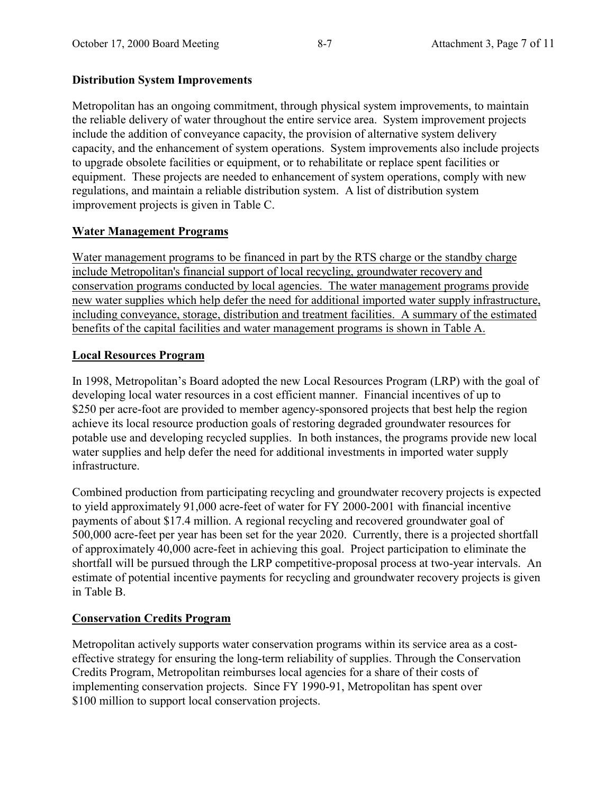## **Distribution System Improvements**

Metropolitan has an ongoing commitment, through physical system improvements, to maintain the reliable delivery of water throughout the entire service area. System improvement projects include the addition of conveyance capacity, the provision of alternative system delivery capacity, and the enhancement of system operations. System improvements also include projects to upgrade obsolete facilities or equipment, or to rehabilitate or replace spent facilities or equipment. These projects are needed to enhancement of system operations, comply with new regulations, and maintain a reliable distribution system. A list of distribution system improvement projects is given in Table C.

## **Water Management Programs**

Water management programs to be financed in part by the RTS charge or the standby charge include Metropolitan's financial support of local recycling, groundwater recovery and conservation programs conducted by local agencies. The water management programs provide new water supplies which help defer the need for additional imported water supply infrastructure, including conveyance, storage, distribution and treatment facilities. A summary of the estimated benefits of the capital facilities and water management programs is shown in Table A.

## **Local Resources Program**

In 1998, Metropolitan's Board adopted the new Local Resources Program (LRP) with the goal of developing local water resources in a cost efficient manner. Financial incentives of up to \$250 per acre-foot are provided to member agency-sponsored projects that best help the region achieve its local resource production goals of restoring degraded groundwater resources for potable use and developing recycled supplies. In both instances, the programs provide new local water supplies and help defer the need for additional investments in imported water supply infrastructure.

Combined production from participating recycling and groundwater recovery projects is expected to yield approximately 91,000 acre-feet of water for FY 2000-2001 with financial incentive payments of about \$17.4 million. A regional recycling and recovered groundwater goal of 500,000 acre-feet per year has been set for the year 2020. Currently, there is a projected shortfall of approximately 40,000 acre-feet in achieving this goal. Project participation to eliminate the shortfall will be pursued through the LRP competitive-proposal process at two-year intervals. An estimate of potential incentive payments for recycling and groundwater recovery projects is given in Table B.

## **Conservation Credits Program**

Metropolitan actively supports water conservation programs within its service area as a costeffective strategy for ensuring the long-term reliability of supplies. Through the Conservation Credits Program, Metropolitan reimburses local agencies for a share of their costs of implementing conservation projects. Since FY 1990-91, Metropolitan has spent over \$100 million to support local conservation projects.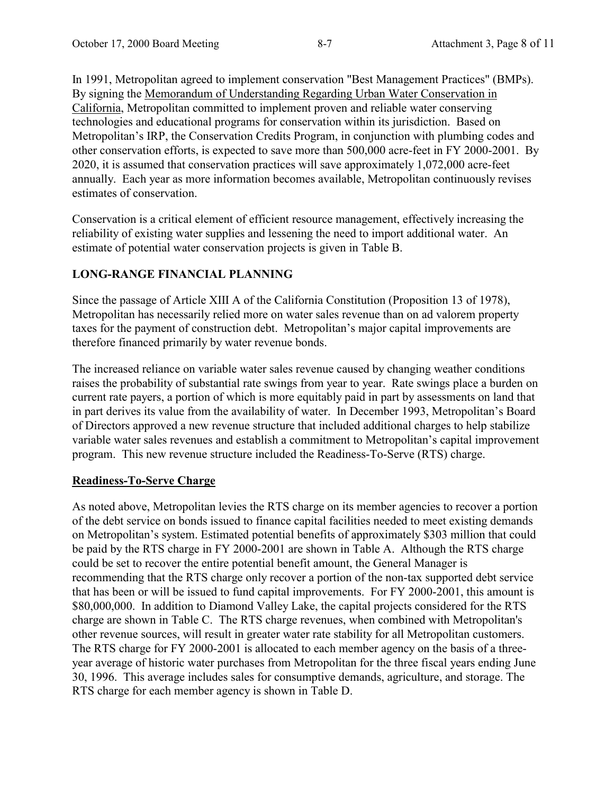In 1991, Metropolitan agreed to implement conservation "Best Management Practices" (BMPs). By signing the Memorandum of Understanding Regarding Urban Water Conservation in California, Metropolitan committed to implement proven and reliable water conserving technologies and educational programs for conservation within its jurisdiction. Based on Metropolitan's IRP, the Conservation Credits Program, in conjunction with plumbing codes and other conservation efforts, is expected to save more than 500,000 acre-feet in FY 2000-2001. By 2020, it is assumed that conservation practices will save approximately 1,072,000 acre-feet annually. Each year as more information becomes available, Metropolitan continuously revises estimates of conservation.

Conservation is a critical element of efficient resource management, effectively increasing the reliability of existing water supplies and lessening the need to import additional water. An estimate of potential water conservation projects is given in Table B.

### **LONG-RANGE FINANCIAL PLANNING**

Since the passage of Article XIII A of the California Constitution (Proposition 13 of 1978), Metropolitan has necessarily relied more on water sales revenue than on ad valorem property taxes for the payment of construction debt. Metropolitan's major capital improvements are therefore financed primarily by water revenue bonds.

The increased reliance on variable water sales revenue caused by changing weather conditions raises the probability of substantial rate swings from year to year. Rate swings place a burden on current rate payers, a portion of which is more equitably paid in part by assessments on land that in part derives its value from the availability of water. In December 1993, Metropolitan's Board of Directors approved a new revenue structure that included additional charges to help stabilize variable water sales revenues and establish a commitment to Metropolitan's capital improvement program. This new revenue structure included the Readiness-To-Serve (RTS) charge.

#### **Readiness-To-Serve Charge**

As noted above, Metropolitan levies the RTS charge on its member agencies to recover a portion of the debt service on bonds issued to finance capital facilities needed to meet existing demands on Metropolitan's system. Estimated potential benefits of approximately \$303 million that could be paid by the RTS charge in FY 2000-2001 are shown in Table A. Although the RTS charge could be set to recover the entire potential benefit amount, the General Manager is recommending that the RTS charge only recover a portion of the non-tax supported debt service that has been or will be issued to fund capital improvements. For FY 2000-2001, this amount is \$80,000,000. In addition to Diamond Valley Lake, the capital projects considered for the RTS charge are shown in Table C. The RTS charge revenues, when combined with Metropolitan's other revenue sources, will result in greater water rate stability for all Metropolitan customers. The RTS charge for FY 2000-2001 is allocated to each member agency on the basis of a threeyear average of historic water purchases from Metropolitan for the three fiscal years ending June 30, 1996. This average includes sales for consumptive demands, agriculture, and storage. The RTS charge for each member agency is shown in Table D.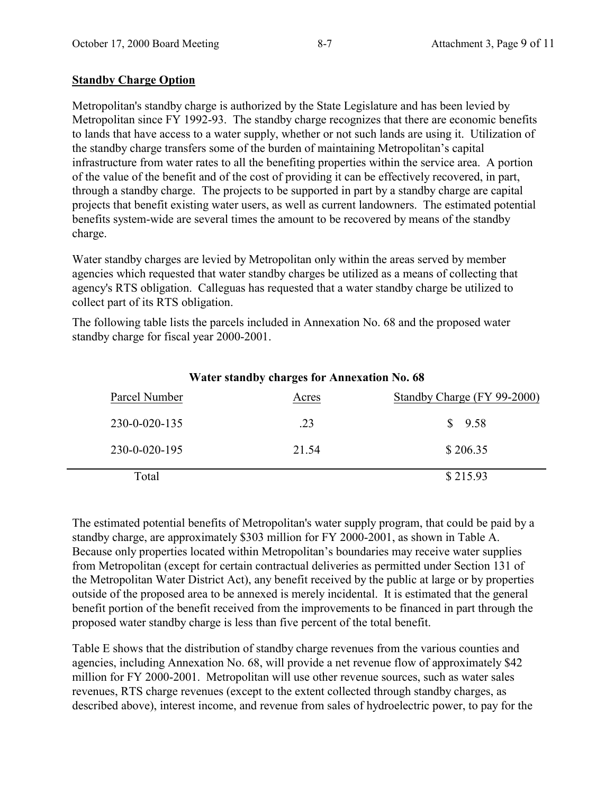## **Standby Charge Option**

Metropolitan's standby charge is authorized by the State Legislature and has been levied by Metropolitan since FY 1992-93. The standby charge recognizes that there are economic benefits to lands that have access to a water supply, whether or not such lands are using it. Utilization of the standby charge transfers some of the burden of maintaining Metropolitan's capital infrastructure from water rates to all the benefiting properties within the service area. A portion of the value of the benefit and of the cost of providing it can be effectively recovered, in part, through a standby charge. The projects to be supported in part by a standby charge are capital projects that benefit existing water users, as well as current landowners. The estimated potential benefits system-wide are several times the amount to be recovered by means of the standby charge.

Water standby charges are levied by Metropolitan only within the areas served by member agencies which requested that water standby charges be utilized as a means of collecting that agency's RTS obligation. Calleguas has requested that a water standby charge be utilized to collect part of its RTS obligation.

The following table lists the parcels included in Annexation No. 68 and the proposed water standby charge for fiscal year 2000-2001.

| Parcel Number | Acres | Standby Charge (FY 99-2000) |
|---------------|-------|-----------------------------|
| 230-0-020-135 | .23   | \$9.58                      |
| 230-0-020-195 | 21.54 | \$206.35                    |
| Total         |       | \$215.93                    |

## **Water standby charges for Annexation No. 68**

The estimated potential benefits of Metropolitan's water supply program, that could be paid by a standby charge, are approximately \$303 million for FY 2000-2001, as shown in Table A. Because only properties located within Metropolitan's boundaries may receive water supplies from Metropolitan (except for certain contractual deliveries as permitted under Section 131 of the Metropolitan Water District Act), any benefit received by the public at large or by properties outside of the proposed area to be annexed is merely incidental. It is estimated that the general benefit portion of the benefit received from the improvements to be financed in part through the proposed water standby charge is less than five percent of the total benefit.

Table E shows that the distribution of standby charge revenues from the various counties and agencies, including Annexation No. 68, will provide a net revenue flow of approximately \$42 million for FY 2000-2001. Metropolitan will use other revenue sources, such as water sales revenues, RTS charge revenues (except to the extent collected through standby charges, as described above), interest income, and revenue from sales of hydroelectric power, to pay for the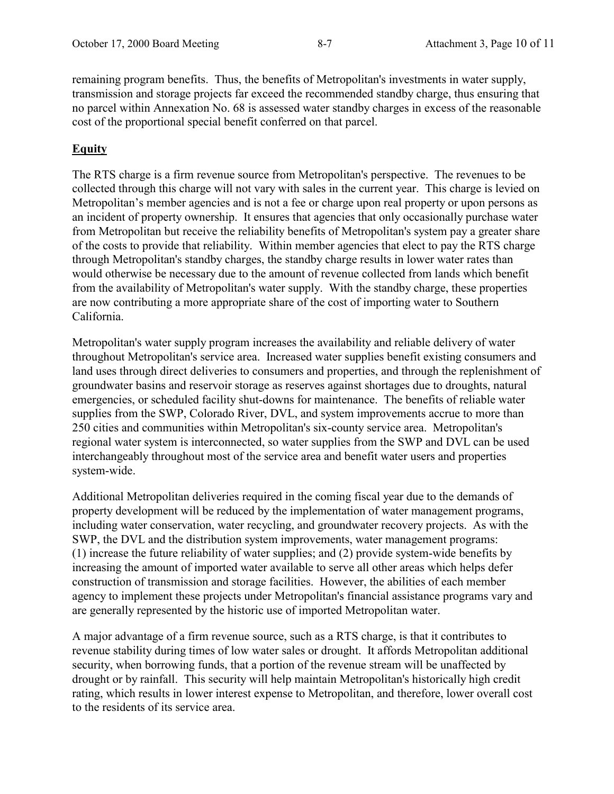remaining program benefits. Thus, the benefits of Metropolitan's investments in water supply, transmission and storage projects far exceed the recommended standby charge, thus ensuring that no parcel within Annexation No. 68 is assessed water standby charges in excess of the reasonable cost of the proportional special benefit conferred on that parcel.

## **Equity**

The RTS charge is a firm revenue source from Metropolitan's perspective. The revenues to be collected through this charge will not vary with sales in the current year. This charge is levied on Metropolitan's member agencies and is not a fee or charge upon real property or upon persons as an incident of property ownership. It ensures that agencies that only occasionally purchase water from Metropolitan but receive the reliability benefits of Metropolitan's system pay a greater share of the costs to provide that reliability. Within member agencies that elect to pay the RTS charge through Metropolitan's standby charges, the standby charge results in lower water rates than would otherwise be necessary due to the amount of revenue collected from lands which benefit from the availability of Metropolitan's water supply. With the standby charge, these properties are now contributing a more appropriate share of the cost of importing water to Southern California.

Metropolitan's water supply program increases the availability and reliable delivery of water throughout Metropolitan's service area. Increased water supplies benefit existing consumers and land uses through direct deliveries to consumers and properties, and through the replenishment of groundwater basins and reservoir storage as reserves against shortages due to droughts, natural emergencies, or scheduled facility shut-downs for maintenance. The benefits of reliable water supplies from the SWP, Colorado River, DVL, and system improvements accrue to more than 250 cities and communities within Metropolitan's six-county service area. Metropolitan's regional water system is interconnected, so water supplies from the SWP and DVL can be used interchangeably throughout most of the service area and benefit water users and properties system-wide.

Additional Metropolitan deliveries required in the coming fiscal year due to the demands of property development will be reduced by the implementation of water management programs, including water conservation, water recycling, and groundwater recovery projects. As with the SWP, the DVL and the distribution system improvements, water management programs: (1) increase the future reliability of water supplies; and (2) provide system-wide benefits by increasing the amount of imported water available to serve all other areas which helps defer construction of transmission and storage facilities. However, the abilities of each member agency to implement these projects under Metropolitan's financial assistance programs vary and are generally represented by the historic use of imported Metropolitan water.

A major advantage of a firm revenue source, such as a RTS charge, is that it contributes to revenue stability during times of low water sales or drought. It affords Metropolitan additional security, when borrowing funds, that a portion of the revenue stream will be unaffected by drought or by rainfall. This security will help maintain Metropolitan's historically high credit rating, which results in lower interest expense to Metropolitan, and therefore, lower overall cost to the residents of its service area.